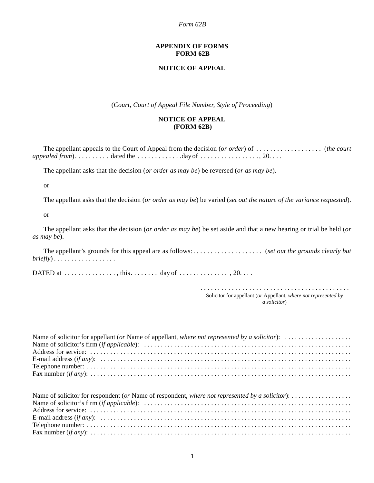### *Form 62B*

### **APPENDIX OF FORMS FORM 62B**

## **NOTICE OF APPEAL**

(*Court, Court of Appeal File Number, Style of Proceeding*)

## **NOTICE OF APPEAL (FORM 62B)**

The appellant appeals to the Court of Appeal from the decision (*or order*) of . . . . . . . . . . . . . . . . . . . (*the court appealed from*). . . . . . . . . . dated the . . . . . . . . . . . . day of . . . . . . . . . . . . . . . . . 20. . . .

The appellant asks that the decision (*or order as may be*) be reversed (*or as may be*).

or

The appellant asks that the decision (*or order as may be*) be varied (*set out the nature of the variance requested*).

or

The appellant asks that the decision (*or order as may be*) be set aside and that a new hearing or trial be held (*or as may be*).

The appellant's grounds for this appeal are as follows: . . . . . . . . . . . . . . . . . . . . (*set out the grounds clearly but briefly*) . . . . . . . . . . . . . . . . . .

DATED at  $\dots \dots \dots \dots$ , this $\dots \dots$ , day of  $\dots \dots \dots \dots$ , 20. . . .

 . . . . . . . . . . . . . . . . . . . . . . . . . . . . . . . . . . . . . . . . . . . Solicitor for appellant (*or* Appellant, *where not represented by a solicitor*)

| Name of solicitor for appellant (or Name of appellant, where not represented by a solicitor): $\dots\dots\dots\dots\dots\dots$ |
|--------------------------------------------------------------------------------------------------------------------------------|
|                                                                                                                                |
|                                                                                                                                |
|                                                                                                                                |
|                                                                                                                                |
|                                                                                                                                |